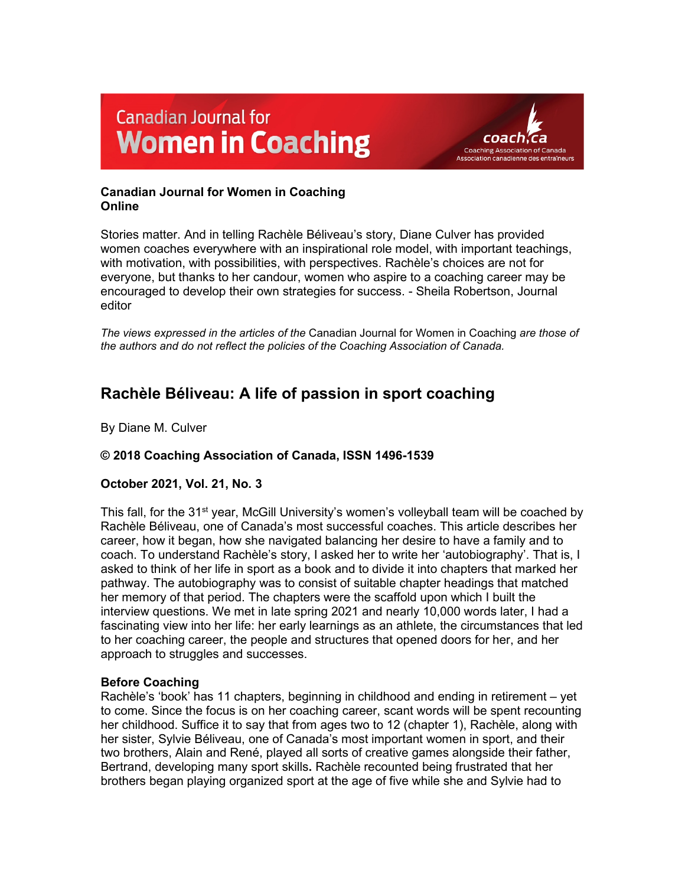# **Canadian Journal for Women in Coaching**



# **Canadian Journal for Women in Coaching Online**

Stories matter. And in telling Rachèle Béliveau's story, Diane Culver has provided women coaches everywhere with an inspirational role model, with important teachings, with motivation, with possibilities, with perspectives. Rachèle's choices are not for everyone, but thanks to her candour, women who aspire to a coaching career may be encouraged to develop their own strategies for success. - Sheila Robertson, Journal editor

*The views expressed in the articles of the* Canadian Journal for Women in Coaching *are those of the authors and do not reflect the policies of the Coaching Association of Canada.*

# **Rachèle Béliveau: A life of passion in sport coaching**

By Diane M. Culver

# **© 2018 Coaching Association of Canada, ISSN 1496-1539**

# **October 2021, Vol. 21, No. 3**

This fall, for the 31<sup>st</sup> year, McGill University's women's volleyball team will be coached by Rachèle Béliveau, one of Canada's most successful coaches. This article describes her career, how it began, how she navigated balancing her desire to have a family and to coach. To understand Rachèle's story, I asked her to write her 'autobiography'. That is, I asked to think of her life in sport as a book and to divide it into chapters that marked her pathway. The autobiography was to consist of suitable chapter headings that matched her memory of that period. The chapters were the scaffold upon which I built the interview questions. We met in late spring 2021 and nearly 10,000 words later, I had a fascinating view into her life: her early learnings as an athlete, the circumstances that led to her coaching career, the people and structures that opened doors for her, and her approach to struggles and successes.

# **Before Coaching**

Rachèle's 'book' has 11 chapters, beginning in childhood and ending in retirement – yet to come. Since the focus is on her coaching career, scant words will be spent recounting her childhood. Suffice it to say that from ages two to 12 (chapter 1), Rachèle, along with her sister, Sylvie Béliveau, one of Canada's most important women in sport, and their two brothers, Alain and René, played all sorts of creative games alongside their father, Bertrand, developing many sport skills**.** Rachèle recounted being frustrated that her brothers began playing organized sport at the age of five while she and Sylvie had to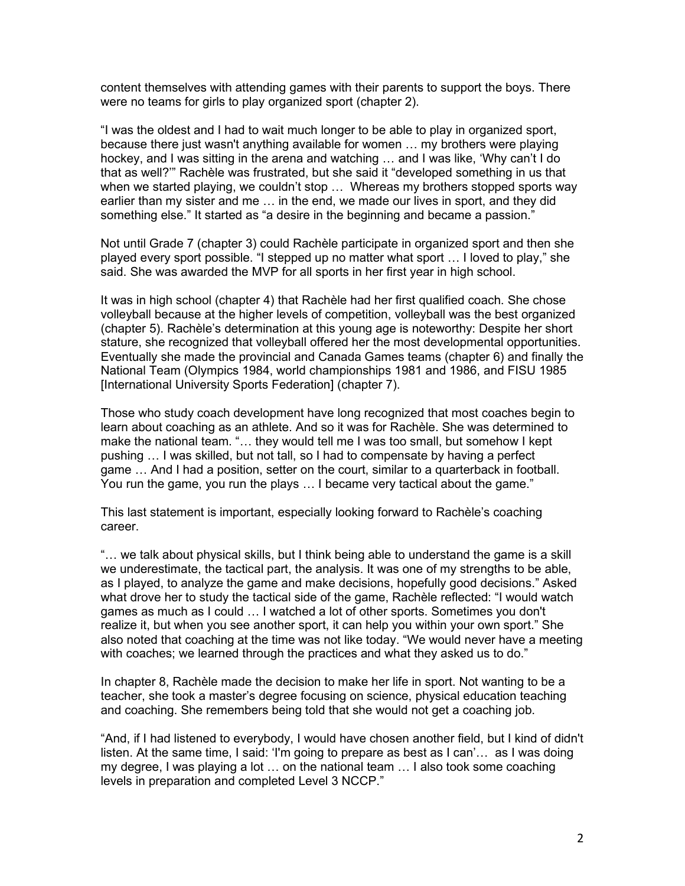content themselves with attending games with their parents to support the boys. There were no teams for girls to play organized sport (chapter 2).

"I was the oldest and I had to wait much longer to be able to play in organized sport, because there just wasn't anything available for women … my brothers were playing hockey, and I was sitting in the arena and watching … and I was like, 'Why can't I do that as well?'" Rachèle was frustrated, but she said it "developed something in us that when we started playing, we couldn't stop … Whereas my brothers stopped sports way earlier than my sister and me … in the end, we made our lives in sport, and they did something else." It started as "a desire in the beginning and became a passion."

Not until Grade 7 (chapter 3) could Rachèle participate in organized sport and then she played every sport possible. "I stepped up no matter what sport … I loved to play," she said. She was awarded the MVP for all sports in her first year in high school.

It was in high school (chapter 4) that Rachèle had her first qualified coach. She chose volleyball because at the higher levels of competition, volleyball was the best organized (chapter 5). Rachèle's determination at this young age is noteworthy: Despite her short stature, she recognized that volleyball offered her the most developmental opportunities. Eventually she made the provincial and Canada Games teams (chapter 6) and finally the National Team (Olympics 1984, world championships 1981 and 1986, and FISU 1985 [International University Sports Federation] (chapter 7).

Those who study coach development have long recognized that most coaches begin to learn about coaching as an athlete. And so it was for Rachèle. She was determined to make the national team. "… they would tell me I was too small, but somehow I kept pushing … I was skilled, but not tall, so I had to compensate by having a perfect game … And I had a position, setter on the court, similar to a quarterback in football. You run the game, you run the plays … I became very tactical about the game."

This last statement is important, especially looking forward to Rachèle's coaching career.

"… we talk about physical skills, but I think being able to understand the game is a skill we underestimate, the tactical part, the analysis. It was one of my strengths to be able, as I played, to analyze the game and make decisions, hopefully good decisions." Asked what drove her to study the tactical side of the game, Rachèle reflected: "I would watch games as much as I could … I watched a lot of other sports. Sometimes you don't realize it, but when you see another sport, it can help you within your own sport." She also noted that coaching at the time was not like today. "We would never have a meeting with coaches; we learned through the practices and what they asked us to do."

In chapter 8, Rachèle made the decision to make her life in sport. Not wanting to be a teacher, she took a master's degree focusing on science, physical education teaching and coaching. She remembers being told that she would not get a coaching job.

"And, if I had listened to everybody, I would have chosen another field, but I kind of didn't listen. At the same time, I said: 'I'm going to prepare as best as I can'… as I was doing my degree, I was playing a lot … on the national team … I also took some coaching levels in preparation and completed Level 3 NCCP."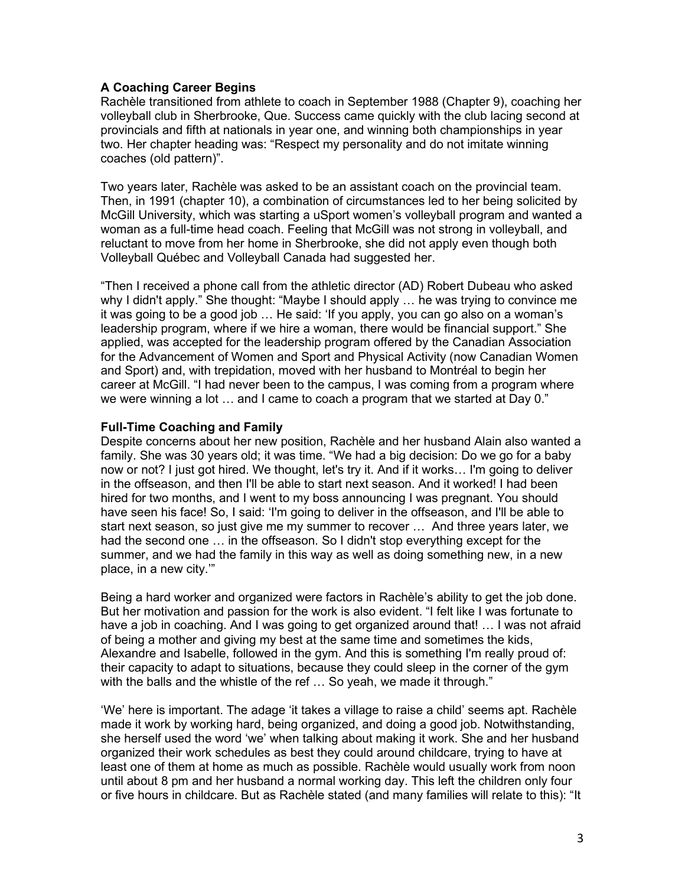# **A Coaching Career Begins**

Rachèle transitioned from athlete to coach in September 1988 (Chapter 9), coaching her volleyball club in Sherbrooke, Que. Success came quickly with the club lacing second at provincials and fifth at nationals in year one, and winning both championships in year two. Her chapter heading was: "Respect my personality and do not imitate winning coaches (old pattern)".

Two years later, Rachèle was asked to be an assistant coach on the provincial team. Then, in 1991 (chapter 10), a combination of circumstances led to her being solicited by McGill University, which was starting a uSport women's volleyball program and wanted a woman as a full-time head coach. Feeling that McGill was not strong in volleyball, and reluctant to move from her home in Sherbrooke, she did not apply even though both Volleyball Québec and Volleyball Canada had suggested her.

"Then I received a phone call from the athletic director (AD) Robert Dubeau who asked why I didn't apply." She thought: "Maybe I should apply … he was trying to convince me it was going to be a good job … He said: 'If you apply, you can go also on a woman's leadership program, where if we hire a woman, there would be financial support." She applied, was accepted for the leadership program offered by the Canadian Association for the Advancement of Women and Sport and Physical Activity (now Canadian Women and Sport) and, with trepidation, moved with her husband to Montréal to begin her career at McGill. "I had never been to the campus, I was coming from a program where we were winning a lot … and I came to coach a program that we started at Day 0."

# **Full-Time Coaching and Family**

Despite concerns about her new position, Rachèle and her husband Alain also wanted a family. She was 30 years old; it was time. "We had a big decision: Do we go for a baby now or not? I just got hired. We thought, let's try it. And if it works… I'm going to deliver in the offseason, and then I'll be able to start next season. And it worked! I had been hired for two months, and I went to my boss announcing I was pregnant. You should have seen his face! So, I said: 'I'm going to deliver in the offseason, and I'll be able to start next season, so just give me my summer to recover … And three years later, we had the second one … in the offseason. So I didn't stop everything except for the summer, and we had the family in this way as well as doing something new, in a new place, in a new city.'"

Being a hard worker and organized were factors in Rachèle's ability to get the job done. But her motivation and passion for the work is also evident. "I felt like I was fortunate to have a job in coaching. And I was going to get organized around that! … I was not afraid of being a mother and giving my best at the same time and sometimes the kids, Alexandre and Isabelle, followed in the gym. And this is something I'm really proud of: their capacity to adapt to situations, because they could sleep in the corner of the gym with the balls and the whistle of the ref ... So yeah, we made it through."

'We' here is important. The adage 'it takes a village to raise a child' seems apt. Rachèle made it work by working hard, being organized, and doing a good job. Notwithstanding, she herself used the word 'we' when talking about making it work. She and her husband organized their work schedules as best they could around childcare, trying to have at least one of them at home as much as possible. Rachèle would usually work from noon until about 8 pm and her husband a normal working day. This left the children only four or five hours in childcare. But as Rachèle stated (and many families will relate to this): "It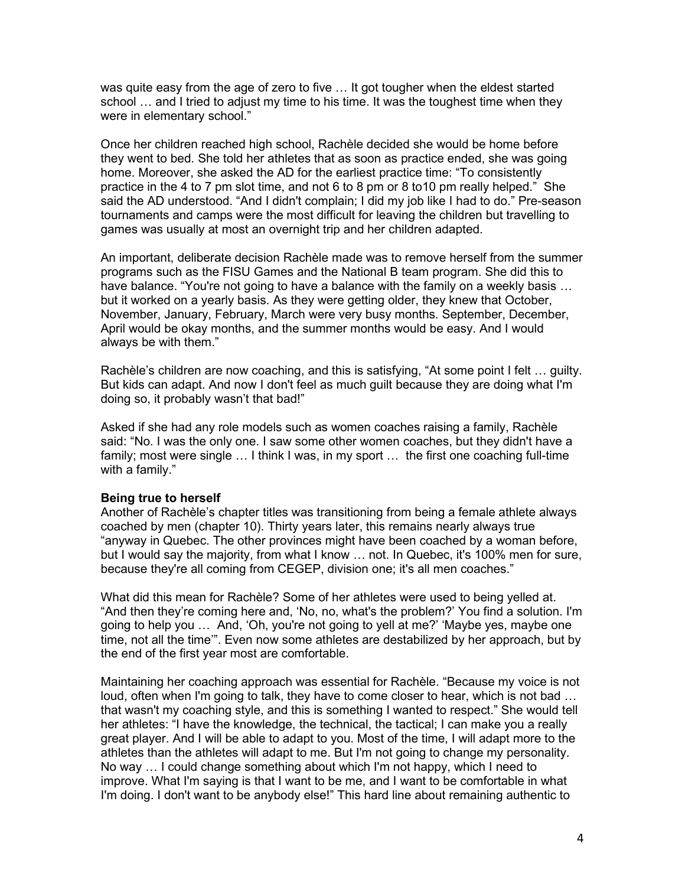was quite easy from the age of zero to five … It got tougher when the eldest started school … and I tried to adjust my time to his time. It was the toughest time when they were in elementary school."

Once her children reached high school, Rachèle decided she would be home before they went to bed. She told her athletes that as soon as practice ended, she was going home. Moreover, she asked the AD for the earliest practice time: "To consistently practice in the 4 to 7 pm slot time, and not 6 to 8 pm or 8 to10 pm really helped." She said the AD understood. "And I didn't complain; I did my job like I had to do." Pre-season tournaments and camps were the most difficult for leaving the children but travelling to games was usually at most an overnight trip and her children adapted.

An important, deliberate decision Rachèle made was to remove herself from the summer programs such as the FISU Games and the National B team program. She did this to have balance. "You're not going to have a balance with the family on a weekly basis … but it worked on a yearly basis. As they were getting older, they knew that October, November, January, February, March were very busy months. September, December, April would be okay months, and the summer months would be easy. And I would always be with them."

Rachèle's children are now coaching, and this is satisfying, "At some point I felt … guilty. But kids can adapt. And now I don't feel as much guilt because they are doing what I'm doing so, it probably wasn't that bad!"

Asked if she had any role models such as women coaches raising a family, Rachèle said: "No. I was the only one. I saw some other women coaches, but they didn't have a family; most were single ... I think I was, in my sport ... the first one coaching full-time with a family."

#### **Being true to herself**

Another of Rachèle's chapter titles was transitioning from being a female athlete always coached by men (chapter 10). Thirty years later, this remains nearly always true "anyway in Quebec. The other provinces might have been coached by a woman before, but I would say the majority, from what I know … not. In Quebec, it's 100% men for sure, because they're all coming from CEGEP, division one; it's all men coaches."

What did this mean for Rachèle? Some of her athletes were used to being yelled at. "And then they're coming here and, 'No, no, what's the problem?' You find a solution. I'm going to help you … And, 'Oh, you're not going to yell at me?' 'Maybe yes, maybe one time, not all the time'". Even now some athletes are destabilized by her approach, but by the end of the first year most are comfortable.

Maintaining her coaching approach was essential for Rachèle. "Because my voice is not loud, often when I'm going to talk, they have to come closer to hear, which is not bad … that wasn't my coaching style, and this is something I wanted to respect." She would tell her athletes: "I have the knowledge, the technical, the tactical; I can make you a really great player. And I will be able to adapt to you. Most of the time, I will adapt more to the athletes than the athletes will adapt to me. But I'm not going to change my personality. No way … I could change something about which I'm not happy, which I need to improve. What I'm saying is that I want to be me, and I want to be comfortable in what I'm doing. I don't want to be anybody else!" This hard line about remaining authentic to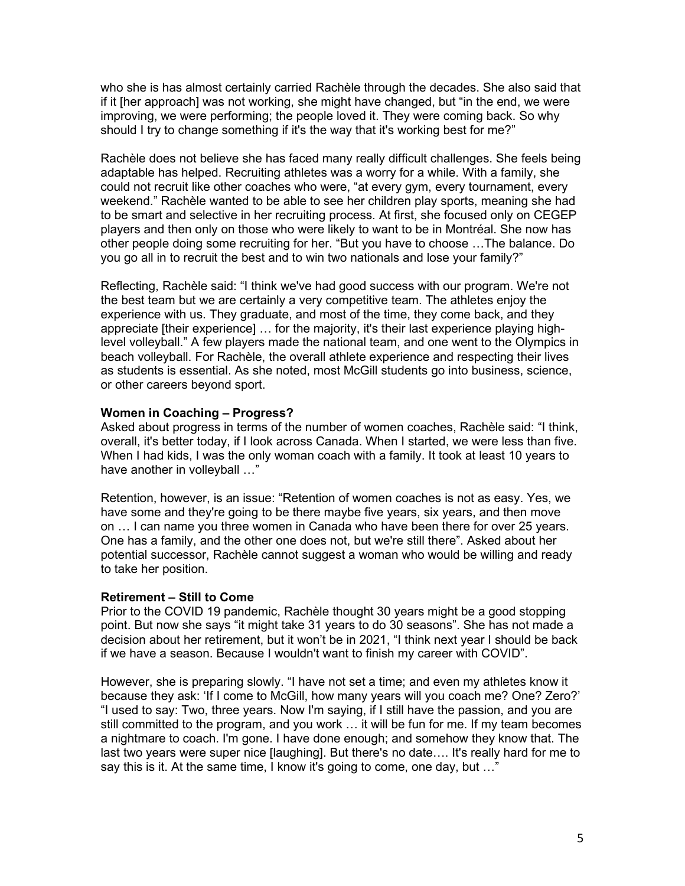who she is has almost certainly carried Rachèle through the decades. She also said that if it [her approach] was not working, she might have changed, but "in the end, we were improving, we were performing; the people loved it. They were coming back. So why should I try to change something if it's the way that it's working best for me?"

Rachèle does not believe she has faced many really difficult challenges. She feels being adaptable has helped. Recruiting athletes was a worry for a while. With a family, she could not recruit like other coaches who were, "at every gym, every tournament, every weekend." Rachèle wanted to be able to see her children play sports, meaning she had to be smart and selective in her recruiting process. At first, she focused only on CEGEP players and then only on those who were likely to want to be in Montréal. She now has other people doing some recruiting for her. "But you have to choose …The balance. Do you go all in to recruit the best and to win two nationals and lose your family?"

Reflecting, Rachèle said: "I think we've had good success with our program. We're not the best team but we are certainly a very competitive team. The athletes enjoy the experience with us. They graduate, and most of the time, they come back, and they appreciate [their experience] … for the majority, it's their last experience playing highlevel volleyball." A few players made the national team, and one went to the Olympics in beach volleyball. For Rachèle, the overall athlete experience and respecting their lives as students is essential. As she noted, most McGill students go into business, science, or other careers beyond sport.

#### **Women in Coaching – Progress?**

Asked about progress in terms of the number of women coaches, Rachèle said: "I think, overall, it's better today, if I look across Canada. When I started, we were less than five. When I had kids, I was the only woman coach with a family. It took at least 10 years to have another in volleyball …"

Retention, however, is an issue: "Retention of women coaches is not as easy. Yes, we have some and they're going to be there maybe five years, six years, and then move on … I can name you three women in Canada who have been there for over 25 years. One has a family, and the other one does not, but we're still there". Asked about her potential successor, Rachèle cannot suggest a woman who would be willing and ready to take her position.

#### **Retirement – Still to Come**

Prior to the COVID 19 pandemic, Rachèle thought 30 years might be a good stopping point. But now she says "it might take 31 years to do 30 seasons". She has not made a decision about her retirement, but it won't be in 2021, "I think next year I should be back if we have a season. Because I wouldn't want to finish my career with COVID".

However, she is preparing slowly. "I have not set a time; and even my athletes know it because they ask: 'If I come to McGill, how many years will you coach me? One? Zero?' "I used to say: Two, three years. Now I'm saying, if I still have the passion, and you are still committed to the program, and you work … it will be fun for me. If my team becomes a nightmare to coach. I'm gone. I have done enough; and somehow they know that. The last two years were super nice [laughing]. But there's no date…. It's really hard for me to say this is it. At the same time, I know it's going to come, one day, but ..."